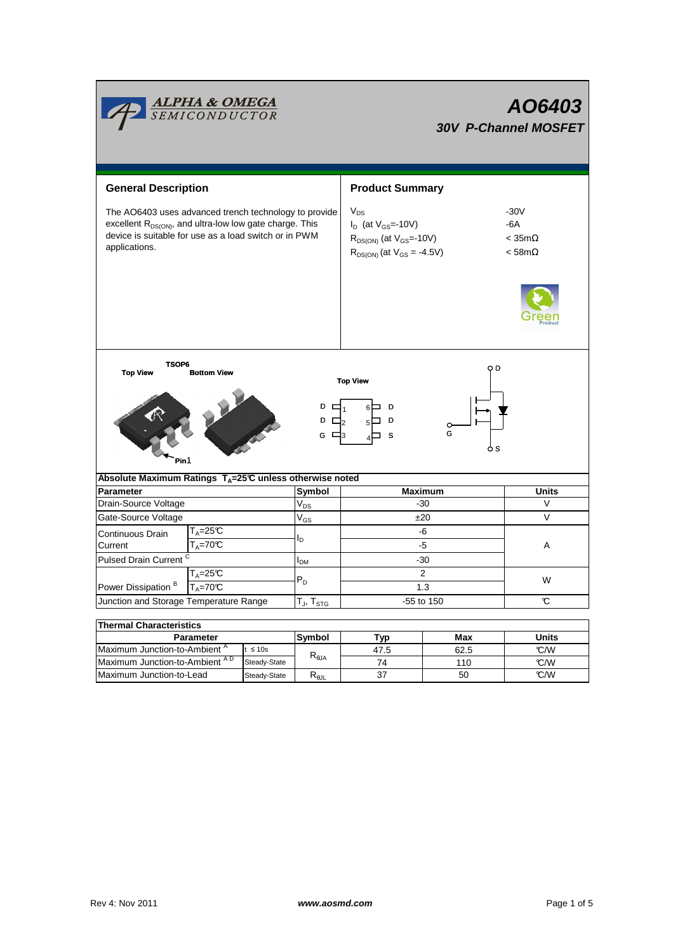|                                                                                                                                                                                                        | <b>ALPHA &amp; OMEGA</b><br>SEMICONDUCTOR                |  |                         | AO6403<br><b>30V P-Channel MOSFET</b>                                                                                              |                                                         |       |  |  |  |  |  |
|--------------------------------------------------------------------------------------------------------------------------------------------------------------------------------------------------------|----------------------------------------------------------|--|-------------------------|------------------------------------------------------------------------------------------------------------------------------------|---------------------------------------------------------|-------|--|--|--|--|--|
| <b>General Description</b>                                                                                                                                                                             |                                                          |  | <b>Product Summary</b>  |                                                                                                                                    |                                                         |       |  |  |  |  |  |
| The AO6403 uses advanced trench technology to provide<br>excellent R <sub>DS(ON)</sub> , and ultra-low low gate charge. This<br>device is suitable for use as a load switch or in PWM<br>applications. |                                                          |  |                         | $\mathsf{V}_{\mathsf{DS}}$<br>$I_D$ (at $V_{GS}$ =-10V)<br>$R_{DS(ON)}$ (at $V_{GS}$ =-10V)<br>$R_{DS(ON)}$ (at $V_{GS} = -4.5V$ ) | $-30V$<br>$-6A$<br>$<$ 35m $\Omega$<br>$<$ 58m $\Omega$ |       |  |  |  |  |  |
| TSOP6<br>O D<br><b>Top View</b><br><b>Bottom View</b><br><b>Top View</b><br>D<br>D<br>D<br>D<br>$\Box$<br>G<br>$\Box$ 3<br>s<br>G<br>o s<br>Pin1                                                       |                                                          |  |                         |                                                                                                                                    |                                                         |       |  |  |  |  |  |
| Absolute Maximum Ratings T <sub>A</sub> =25℃ unless otherwise noted                                                                                                                                    |                                                          |  |                         |                                                                                                                                    |                                                         |       |  |  |  |  |  |
| <b>Parameter</b>                                                                                                                                                                                       |                                                          |  | Symbol                  | <b>Maximum</b>                                                                                                                     | <b>Units</b>                                            |       |  |  |  |  |  |
| Drain-Source Voltage                                                                                                                                                                                   |                                                          |  | $V_{DS}$                | $-30$                                                                                                                              | V                                                       |       |  |  |  |  |  |
| Gate-Source Voltage                                                                                                                                                                                    |                                                          |  | $V_{GS}$                | ±20                                                                                                                                | $\vee$                                                  |       |  |  |  |  |  |
| Continuous Drain                                                                                                                                                                                       | $T_A = 25C$                                              |  | l <sub>D</sub>          | -6                                                                                                                                 |                                                         |       |  |  |  |  |  |
| Current                                                                                                                                                                                                | $T_A = 70C$                                              |  |                         | -5<br>$-30$                                                                                                                        |                                                         | A     |  |  |  |  |  |
| Pulsed Drain Current <sup>C</sup>                                                                                                                                                                      |                                                          |  | I <sub>DM</sub>         |                                                                                                                                    |                                                         |       |  |  |  |  |  |
| $T_A = 25C$                                                                                                                                                                                            |                                                          |  | $\overline{2}$<br>$P_D$ |                                                                                                                                    |                                                         | W     |  |  |  |  |  |
| Power Dissipation <sup>B</sup><br>$T_A = 70^\circ C$                                                                                                                                                   |                                                          |  |                         | 1.3                                                                                                                                |                                                         |       |  |  |  |  |  |
| Junction and Storage Temperature Range                                                                                                                                                                 |                                                          |  | $T_J$ , $T_{STG}$       | -55 to 150                                                                                                                         |                                                         | C     |  |  |  |  |  |
| <b>Thermal Characteristics</b>                                                                                                                                                                         |                                                          |  |                         |                                                                                                                                    |                                                         |       |  |  |  |  |  |
|                                                                                                                                                                                                        | <b>Parameter</b>                                         |  | Symbol                  | Typ                                                                                                                                | Max                                                     | Units |  |  |  |  |  |
|                                                                                                                                                                                                        | Maximum Junction-to-Ambient <sup>A</sup><br>$t \leq 10s$ |  |                         | 47.5                                                                                                                               | 62.5                                                    | °C/W  |  |  |  |  |  |
|                                                                                                                                                                                                        | Maximum Junction-to-Ambient AD<br>Steady-State           |  | $R_{\theta$ JA          | 74                                                                                                                                 | 110                                                     | °C/W  |  |  |  |  |  |

 $Steady-State$   $R_{\theta JL}$ 

Maximum Junction-to-Lead Steady-State R<sub>6JL</sub> 37 50 C/W

37

50

 $\overline{\phantom{0}}$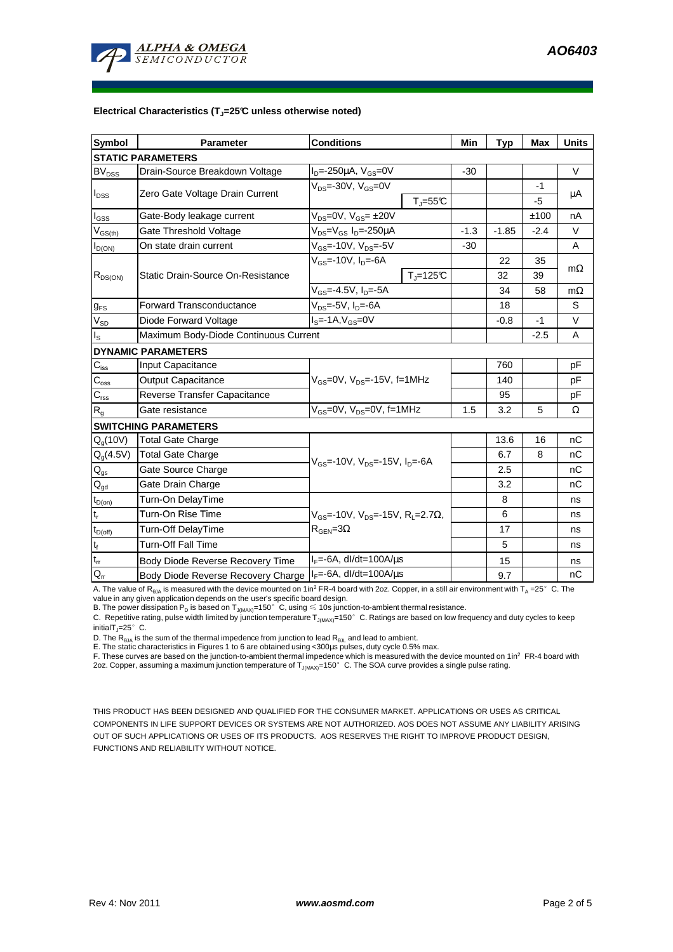

#### **Electrical Characteristics (TJ=25°C unless otherwise noted)**

| <b>Symbol</b>                           | <b>Parameter</b>                      | <b>Conditions</b>                                                                                          |                          | Min     | <b>Typ</b> | <b>Max</b> | <b>Units</b> |  |  |  |  |  |
|-----------------------------------------|---------------------------------------|------------------------------------------------------------------------------------------------------------|--------------------------|---------|------------|------------|--------------|--|--|--|--|--|
| <b>STATIC PARAMETERS</b>                |                                       |                                                                                                            |                          |         |            |            |              |  |  |  |  |  |
| <b>BV<sub>DSS</sub></b>                 | Drain-Source Breakdown Voltage        | $I_D = -250 \mu A$ , $V_{GS} = 0V$                                                                         |                          | $-30$   |            |            | $\vee$       |  |  |  |  |  |
| $I_{\text{DSS}}$                        | Zero Gate Voltage Drain Current       | $V_{DS}$ =-30V, $V_{GS}$ =0V<br>$T_{\text{J}} = 55^{\circ}C$                                               |                          |         |            | -1         | μA           |  |  |  |  |  |
|                                         |                                       |                                                                                                            |                          |         |            | $-5$       |              |  |  |  |  |  |
| $I_{GSS}$                               | Gate-Body leakage current             | $V_{DS} = 0V$ , $V_{GS} = \pm 20V$                                                                         |                          |         |            | ±100       | nA           |  |  |  |  |  |
| $\mathsf{V}_{\mathsf{GS}(\mathsf{th})}$ | Gate Threshold Voltage                | $V_{DS} = V_{GS} I_D = -250 \mu A$                                                                         | $-1.3$                   | $-1.85$ | $-2.4$     | $\vee$     |              |  |  |  |  |  |
| $I_{D(ON)}$                             | On state drain current                | $V_{GS}$ =-10V, $V_{DS}$ =-5V                                                                              |                          | $-30$   |            |            | A            |  |  |  |  |  |
| $R_{DS(ON)}$                            |                                       | $V_{GS}$ =-10V, $I_D$ =-6A                                                                                 |                          |         | 22         | 35         |              |  |  |  |  |  |
|                                         | Static Drain-Source On-Resistance     |                                                                                                            | $T_{\parallel} = 125$ °C |         | 32         | 39         | $m\Omega$    |  |  |  |  |  |
|                                         |                                       | $V_{GS}$ =-4.5V, $I_D$ =-5A                                                                                |                          |         | 34         | 58         | $m\Omega$    |  |  |  |  |  |
| $g_{FS}$                                | <b>Forward Transconductance</b>       | $V_{DS}$ =-5V, $I_{D}$ =-6A                                                                                |                          |         | 18         |            | S            |  |  |  |  |  |
| $V_{SD}$                                | Diode Forward Voltage                 | $IS=-1A, VGS=0V$                                                                                           |                          | $-0.8$  | $-1$       | $\vee$     |              |  |  |  |  |  |
| $I_{\rm S}$                             | Maximum Body-Diode Continuous Current |                                                                                                            |                          | $-2.5$  | A          |            |              |  |  |  |  |  |
|                                         | <b>DYNAMIC PARAMETERS</b>             |                                                                                                            |                          |         |            |            |              |  |  |  |  |  |
| $C_{\text{iss}}$                        | Input Capacitance                     | $V_{GS}$ =0V, $V_{DS}$ =-15V, f=1MHz                                                                       |                          |         | 760        |            | pF           |  |  |  |  |  |
| $C_{\rm oss}$                           | <b>Output Capacitance</b>             |                                                                                                            |                          |         | 140        |            | рF           |  |  |  |  |  |
| $C_{\rm rss}$                           | Reverse Transfer Capacitance          |                                                                                                            |                          |         | 95         |            | pF           |  |  |  |  |  |
| $R_{q}$                                 | Gate resistance                       | $V_{GS}$ =0V, $V_{DS}$ =0V, f=1MHz                                                                         |                          | 1.5     | 3.2        | 5          | Ω            |  |  |  |  |  |
|                                         | <b>SWITCHING PARAMETERS</b>           |                                                                                                            |                          |         |            |            |              |  |  |  |  |  |
| $Q_q(10V)$                              | <b>Total Gate Charge</b>              | $V_{\text{GS}}$ =-10V, $V_{\text{DS}}$ =-15V, $I_{\text{DS}}$ =-6A                                         |                          |         | 13.6       | 16         | nC           |  |  |  |  |  |
| $Q_q(4.5V)$                             | <b>Total Gate Charge</b>              |                                                                                                            |                          |         | 6.7        | 8          | nC           |  |  |  |  |  |
| $\mathsf{Q}_{\text{gs}}$                | Gate Source Charge                    |                                                                                                            |                          |         | 2.5        |            | nС           |  |  |  |  |  |
| $\mathbf{Q}_{\text{gd}}$                | Gate Drain Charge                     |                                                                                                            |                          |         | 3.2        |            | nC           |  |  |  |  |  |
| $t_{D(0n)}$                             | Turn-On DelayTime                     | $V_{\text{gs}}$ =-10V, $V_{\text{gs}}$ =-15V, R <sub>1</sub> =2.7 $\Omega$ ,<br>$R_{\text{GEN}} = 3\Omega$ |                          |         | 8          |            | ns           |  |  |  |  |  |
| $t_r$                                   | Turn-On Rise Time                     |                                                                                                            |                          |         | 6          |            | ns           |  |  |  |  |  |
| $t_{D(off)}$                            | Turn-Off DelayTime                    |                                                                                                            |                          |         | 17         |            | ns           |  |  |  |  |  |
| $\mathbf{t}_\text{f}$                   | <b>Turn-Off Fall Time</b>             |                                                                                                            |                          | 5       |            | ns         |              |  |  |  |  |  |
| $t_{rr}$                                | Body Diode Reverse Recovery Time      | $I_F = -6A$ , dl/dt=100A/ $\mu$ s                                                                          |                          |         | 15         |            | ns           |  |  |  |  |  |
| $Q_{rr}$                                | Body Diode Reverse Recovery Charge    | $I_F = -6A$ , dl/dt=100A/us                                                                                |                          | 9.7     |            | nC         |              |  |  |  |  |  |

A. The value of  $R_{\thetaJA}$  is measured with the device mounted on 1in<sup>2</sup> FR-4 board with 2oz. Copper, in a still air environment with T<sub>A</sub> =25°C. The

value in any given application depends on the user's specific board design.<br>B. The power dissipation P<sub>D</sub> is based on T<sub>J(MAX)</sub>=150°C, using ≤ 10s junction-to-ambient thermal resistance.

C. Repetitive rating, pulse width limited by junction temperature  $T_{J(MAX)}$ =150°C. Ratings are based on low frequency and duty cycles to keep initialT $_{\text{I}}$ =25°C.

D. The  $R_{\theta JA}$  is the sum of the thermal impedence from junction to lead  $R_{\theta JL}$  and lead to ambient.

E. The static characteristics in Figures 1 to 6 are obtained using <300us pulses, duty cycle 0.5% max.

F. These curves are based on the junction-to-ambient thermal impedence which is measured with the device mounted on 1in<sup>2</sup> FR-4 board with 2oz. Copper, assuming a maximum junction temperature of  $T_{J(MAX)}$ =150°C. The SOA curve provides a single pulse rating.

THIS PRODUCT HAS BEEN DESIGNED AND QUALIFIED FOR THE CONSUMER MARKET. APPLICATIONS OR USES AS CRITICAL COMPONENTS IN LIFE SUPPORT DEVICES OR SYSTEMS ARE NOT AUTHORIZED. AOS DOES NOT ASSUME ANY LIABILITY ARISING OUT OF SUCH APPLICATIONS OR USES OF ITS PRODUCTS. AOS RESERVES THE RIGHT TO IMPROVE PRODUCT DESIGN, FUNCTIONS AND RELIABILITY WITHOUT NOTICE.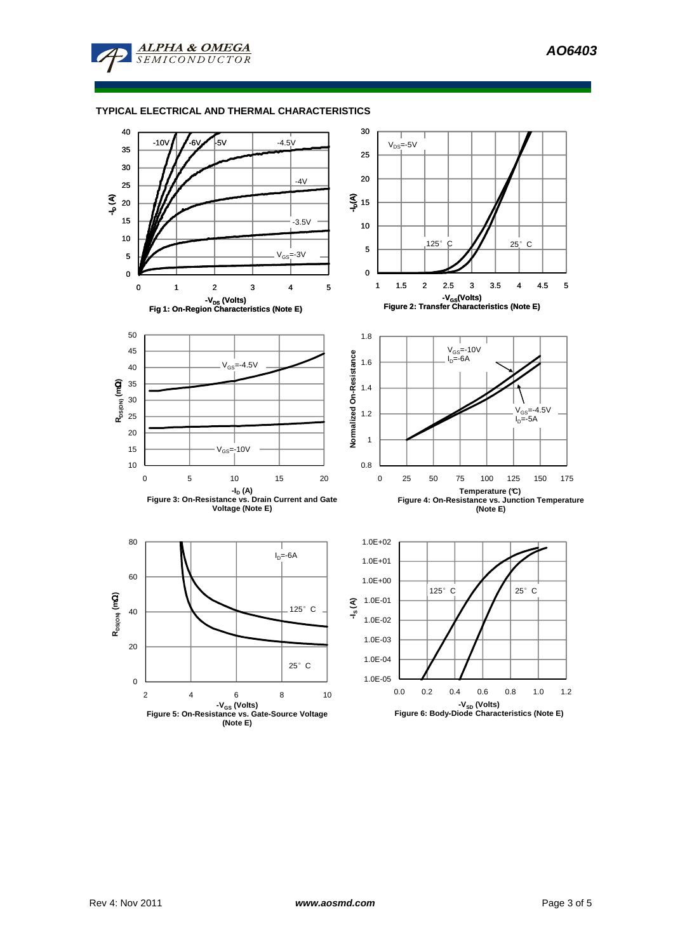

**ALPHA & OMEGA SEMICONDUCTOR** 



Rev 4: Nov 2011 **www.aosmd.com Example 3 of 5 Page 3 of 5**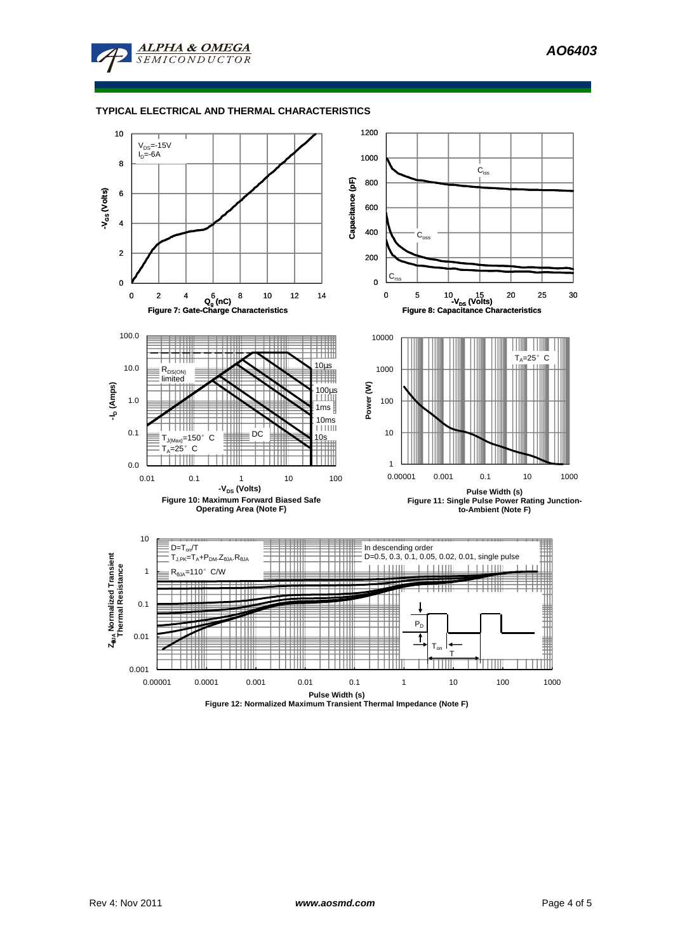**AO6403** 



#### **TYPICAL ELECTRICAL AND THERMAL CHARACTERISTICS**